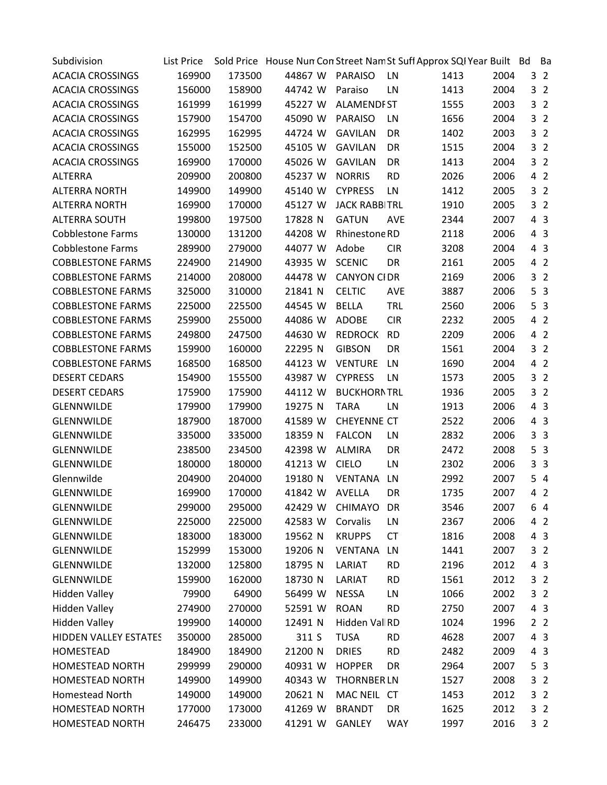| Subdivision                  | List Price |        |         |                      |            | Sold Price House Nun Con Street Nam St Suff Approx SQI Year Built Bd |      | Ba             |
|------------------------------|------------|--------|---------|----------------------|------------|----------------------------------------------------------------------|------|----------------|
| <b>ACACIA CROSSINGS</b>      | 169900     | 173500 | 44867 W | PARAISO              | LN         | 1413                                                                 | 2004 | 3 <sub>2</sub> |
| <b>ACACIA CROSSINGS</b>      | 156000     | 158900 | 44742 W | Paraiso              | LN         | 1413                                                                 | 2004 | 3 <sub>2</sub> |
| <b>ACACIA CROSSINGS</b>      | 161999     | 161999 | 45227 W | <b>ALAMENDFST</b>    |            | 1555                                                                 | 2003 | 3 <sub>2</sub> |
| <b>ACACIA CROSSINGS</b>      | 157900     | 154700 | 45090 W | <b>PARAISO</b>       | LN         | 1656                                                                 | 2004 | 3 <sub>2</sub> |
| <b>ACACIA CROSSINGS</b>      | 162995     | 162995 | 44724 W | <b>GAVILAN</b>       | DR         | 1402                                                                 | 2003 | 3 <sub>2</sub> |
| <b>ACACIA CROSSINGS</b>      | 155000     | 152500 | 45105 W | <b>GAVILAN</b>       | DR         | 1515                                                                 | 2004 | 3 <sub>2</sub> |
| <b>ACACIA CROSSINGS</b>      | 169900     | 170000 | 45026 W | <b>GAVILAN</b>       | DR         | 1413                                                                 | 2004 | 3 <sub>2</sub> |
| <b>ALTERRA</b>               | 209900     | 200800 | 45237 W | <b>NORRIS</b>        | <b>RD</b>  | 2026                                                                 | 2006 | 4 2            |
| <b>ALTERRA NORTH</b>         | 149900     | 149900 | 45140 W | <b>CYPRESS</b>       | LN         | 1412                                                                 | 2005 | 3 <sub>2</sub> |
| <b>ALTERRA NORTH</b>         | 169900     | 170000 | 45127 W | <b>JACK RABBITRL</b> |            | 1910                                                                 | 2005 | 3 <sub>2</sub> |
| <b>ALTERRA SOUTH</b>         | 199800     | 197500 | 17828 N | <b>GATUN</b>         | <b>AVE</b> | 2344                                                                 | 2007 | 4 3            |
| <b>Cobblestone Farms</b>     | 130000     | 131200 | 44208 W | Rhinestone RD        |            | 2118                                                                 | 2006 | 4 3            |
| <b>Cobblestone Farms</b>     | 289900     | 279000 | 44077 W | Adobe                | <b>CIR</b> | 3208                                                                 | 2004 | 4 3            |
| <b>COBBLESTONE FARMS</b>     | 224900     | 214900 | 43935 W | <b>SCENIC</b>        | DR         | 2161                                                                 | 2005 | 4 2            |
| <b>COBBLESTONE FARMS</b>     | 214000     | 208000 | 44478 W | <b>CANYON CIDR</b>   |            | 2169                                                                 | 2006 | 3 <sub>2</sub> |
| <b>COBBLESTONE FARMS</b>     | 325000     | 310000 | 21841 N | <b>CELTIC</b>        | <b>AVE</b> | 3887                                                                 | 2006 | 5 <sub>3</sub> |
| <b>COBBLESTONE FARMS</b>     | 225000     | 225500 | 44545 W | <b>BELLA</b>         | <b>TRL</b> | 2560                                                                 | 2006 | 5 <sub>3</sub> |
| <b>COBBLESTONE FARMS</b>     | 259900     | 255000 | 44086 W | <b>ADOBE</b>         | <b>CIR</b> | 2232                                                                 | 2005 | 4 2            |
| <b>COBBLESTONE FARMS</b>     | 249800     | 247500 | 44630 W | <b>REDROCK</b>       | <b>RD</b>  | 2209                                                                 | 2006 | 4 2            |
| <b>COBBLESTONE FARMS</b>     | 159900     | 160000 | 22295 N | <b>GIBSON</b>        | DR         | 1561                                                                 | 2004 | 3 <sub>2</sub> |
| <b>COBBLESTONE FARMS</b>     | 168500     | 168500 | 44123 W | <b>VENTURE</b>       | LN         | 1690                                                                 | 2004 | 4 2            |
| <b>DESERT CEDARS</b>         | 154900     | 155500 | 43987 W | <b>CYPRESS</b>       | LN         | 1573                                                                 | 2005 | 3 <sub>2</sub> |
| <b>DESERT CEDARS</b>         | 175900     | 175900 | 44112 W | <b>BUCKHORNTRL</b>   |            | 1936                                                                 | 2005 | 3 <sub>2</sub> |
| GLENNWILDE                   | 179900     | 179900 | 19275 N | <b>TARA</b>          | LN         | 1913                                                                 | 2006 | 4 3            |
| <b>GLENNWILDE</b>            | 187900     | 187000 | 41589 W | <b>CHEYENNE CT</b>   |            | 2522                                                                 | 2006 | 4 3            |
| <b>GLENNWILDE</b>            | 335000     | 335000 | 18359 N | <b>FALCON</b>        | LN         | 2832                                                                 | 2006 | 3 <sub>3</sub> |
| <b>GLENNWILDE</b>            | 238500     | 234500 | 42398 W | <b>ALMIRA</b>        | DR         | 2472                                                                 | 2008 | 5 <sub>3</sub> |
| <b>GLENNWILDE</b>            | 180000     | 180000 | 41213 W | <b>CIELO</b>         | LN         | 2302                                                                 | 2006 | 3 <sub>3</sub> |
| Glennwilde                   | 204900     | 204000 | 19180 N | <b>VENTANA</b>       | LN         | 2992                                                                 | 2007 | 54             |
| <b>GLENNWILDE</b>            | 169900     | 170000 | 41842 W | <b>AVELLA</b>        | DR         | 1735                                                                 | 2007 | 4 2            |
| <b>GLENNWILDE</b>            | 299000     | 295000 | 42429 W | <b>CHIMAYO</b>       | DR         | 3546                                                                 | 2007 | 64             |
| <b>GLENNWILDE</b>            | 225000     | 225000 | 42583 W | Corvalis             | LN         | 2367                                                                 | 2006 | 4 2            |
| GLENNWILDE                   | 183000     | 183000 | 19562 N | <b>KRUPPS</b>        | <b>CT</b>  | 1816                                                                 | 2008 | 4 3            |
| <b>GLENNWILDE</b>            | 152999     | 153000 | 19206 N | <b>VENTANA</b>       | LN         | 1441                                                                 | 2007 | 3 <sub>2</sub> |
| <b>GLENNWILDE</b>            | 132000     | 125800 | 18795 N | LARIAT               | <b>RD</b>  | 2196                                                                 | 2012 | 4 3            |
| <b>GLENNWILDE</b>            | 159900     | 162000 | 18730 N | LARIAT               | <b>RD</b>  | 1561                                                                 | 2012 | 3 <sub>2</sub> |
| <b>Hidden Valley</b>         | 79900      | 64900  | 56499 W | <b>NESSA</b>         | LN         | 1066                                                                 | 2002 | 3 <sub>2</sub> |
| <b>Hidden Valley</b>         | 274900     | 270000 | 52591 W | <b>ROAN</b>          | <b>RD</b>  | 2750                                                                 | 2007 | 4 3            |
| <b>Hidden Valley</b>         | 199900     | 140000 | 12491 N | Hidden Val RD        |            | 1024                                                                 | 1996 | 2 <sub>2</sub> |
| <b>HIDDEN VALLEY ESTATES</b> | 350000     | 285000 | 311 S   | <b>TUSA</b>          | <b>RD</b>  | 4628                                                                 | 2007 | 4 <sub>3</sub> |
| HOMESTEAD                    | 184900     | 184900 | 21200 N | <b>DRIES</b>         | <b>RD</b>  | 2482                                                                 | 2009 | 4 3            |
| <b>HOMESTEAD NORTH</b>       | 299999     | 290000 | 40931 W | <b>HOPPER</b>        | DR         | 2964                                                                 | 2007 | 5 <sub>3</sub> |
| <b>HOMESTEAD NORTH</b>       | 149900     | 149900 | 40343 W | <b>THORNBER LN</b>   |            | 1527                                                                 | 2008 | 3 <sub>2</sub> |
| <b>Homestead North</b>       | 149000     | 149000 | 20621 N | MAC NEIL CT          |            | 1453                                                                 | 2012 | 3 <sub>2</sub> |
| <b>HOMESTEAD NORTH</b>       | 177000     | 173000 | 41269 W | <b>BRANDT</b>        | DR         | 1625                                                                 | 2012 | 3 <sub>2</sub> |
| HOMESTEAD NORTH              | 246475     | 233000 | 41291 W | GANLEY               | <b>WAY</b> | 1997                                                                 | 2016 | 3 <sub>2</sub> |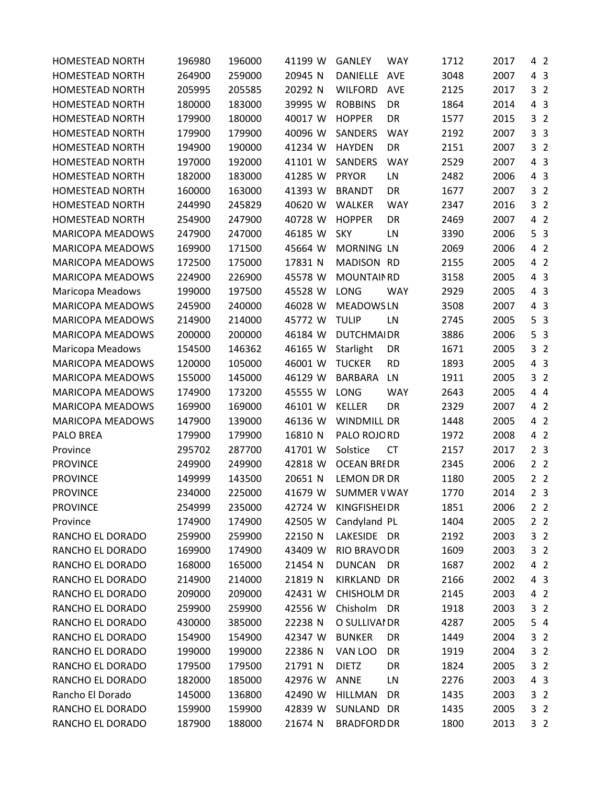| <b>HOMESTEAD NORTH</b>  | 196980 | 196000 | 41199 W | <b>GANLEY</b>       | <b>WAY</b> | 1712 | 2017 | 4 2            |  |
|-------------------------|--------|--------|---------|---------------------|------------|------|------|----------------|--|
| HOMESTEAD NORTH         | 264900 | 259000 | 20945 N | <b>DANIELLE</b>     | <b>AVE</b> | 3048 | 2007 | 4 3            |  |
| HOMESTEAD NORTH         | 205995 | 205585 | 20292 N | <b>WILFORD</b>      | <b>AVE</b> | 2125 | 2017 | 3 <sub>2</sub> |  |
| <b>HOMESTEAD NORTH</b>  | 180000 | 183000 | 39995 W | <b>ROBBINS</b>      | DR         | 1864 | 2014 | 4 3            |  |
| <b>HOMESTEAD NORTH</b>  | 179900 | 180000 | 40017 W | <b>HOPPER</b>       | DR         | 1577 | 2015 | 3 <sub>2</sub> |  |
| <b>HOMESTEAD NORTH</b>  | 179900 | 179900 | 40096 W | SANDERS             | <b>WAY</b> | 2192 | 2007 | 3 <sub>3</sub> |  |
| HOMESTEAD NORTH         | 194900 | 190000 | 41234 W | <b>HAYDEN</b>       | DR         | 2151 | 2007 | 3 <sub>2</sub> |  |
| HOMESTEAD NORTH         | 197000 | 192000 | 41101 W | SANDERS             | <b>WAY</b> | 2529 | 2007 | 4 3            |  |
| HOMESTEAD NORTH         | 182000 | 183000 | 41285 W | <b>PRYOR</b>        | LN         | 2482 | 2006 | 4 3            |  |
| <b>HOMESTEAD NORTH</b>  | 160000 | 163000 | 41393 W | <b>BRANDT</b>       | DR         | 1677 | 2007 | 3 <sub>2</sub> |  |
| <b>HOMESTEAD NORTH</b>  | 244990 | 245829 | 40620 W | <b>WALKER</b>       | <b>WAY</b> | 2347 | 2016 | 3 <sub>2</sub> |  |
| HOMESTEAD NORTH         | 254900 | 247900 | 40728 W | <b>HOPPER</b>       | DR         | 2469 | 2007 | 4 2            |  |
| <b>MARICOPA MEADOWS</b> | 247900 | 247000 | 46185 W | <b>SKY</b>          | LN         | 3390 | 2006 | 5 <sub>3</sub> |  |
| <b>MARICOPA MEADOWS</b> | 169900 | 171500 | 45664 W | <b>MORNING LN</b>   |            | 2069 | 2006 | 4 2            |  |
| <b>MARICOPA MEADOWS</b> | 172500 | 175000 | 17831 N | MADISON RD          |            | 2155 | 2005 | 4 2            |  |
| <b>MARICOPA MEADOWS</b> | 224900 | 226900 | 45578 W | <b>MOUNTAIN RD</b>  |            | 3158 | 2005 | 4 3            |  |
| Maricopa Meadows        | 199000 | 197500 | 45528 W | LONG                | <b>WAY</b> | 2929 | 2005 | 4 3            |  |
| <b>MARICOPA MEADOWS</b> | 245900 | 240000 | 46028 W | <b>MEADOWSLN</b>    |            | 3508 | 2007 | 4 3            |  |
| <b>MARICOPA MEADOWS</b> | 214900 | 214000 | 45772 W | <b>TULIP</b>        | LN         | 2745 | 2005 | 5 <sub>3</sub> |  |
| <b>MARICOPA MEADOWS</b> | 200000 | 200000 | 46184 W | <b>DUTCHMAIDR</b>   |            | 3886 | 2006 | 5 <sub>3</sub> |  |
| Maricopa Meadows        | 154500 | 146362 | 46165 W | Starlight           | DR         | 1671 | 2005 | 3 <sub>2</sub> |  |
| <b>MARICOPA MEADOWS</b> | 120000 | 105000 | 46001 W | <b>TUCKER</b>       | <b>RD</b>  | 1893 | 2005 | 4 3            |  |
| <b>MARICOPA MEADOWS</b> | 155000 | 145000 | 46129 W | BARBARA             | LN         | 1911 | 2005 | 3 <sub>2</sub> |  |
| <b>MARICOPA MEADOWS</b> | 174900 | 173200 | 45555 W | LONG                | <b>WAY</b> | 2643 | 2005 | 4 4            |  |
| <b>MARICOPA MEADOWS</b> | 169900 | 169000 | 46101 W | <b>KELLER</b>       | DR         | 2329 | 2007 | 4 2            |  |
| <b>MARICOPA MEADOWS</b> | 147900 | 139000 | 46136 W | WINDMILL DR         |            | 1448 | 2005 | 4 2            |  |
| PALO BREA               | 179900 | 179900 | 16810 N | PALO ROJORD         |            | 1972 | 2008 | 4 2            |  |
| Province                | 295702 | 287700 | 41701 W | Solstice            | <b>CT</b>  | 2157 | 2017 | 2 <sub>3</sub> |  |
| <b>PROVINCE</b>         | 249900 | 249900 | 42818 W | <b>OCEAN BREDR</b>  |            | 2345 | 2006 | 2 <sub>2</sub> |  |
| <b>PROVINCE</b>         | 149999 | 143500 | 20651 N | <b>LEMON DR DR</b>  |            | 1180 | 2005 | 2 <sub>2</sub> |  |
| <b>PROVINCE</b>         | 234000 | 225000 | 41679 W | <b>SUMMER VWAY</b>  |            | 1770 | 2014 | 2 <sub>3</sub> |  |
| <b>PROVINCE</b>         | 254999 | 235000 | 42724 W | <b>KINGFISHEIDR</b> |            | 1851 | 2006 | 2 <sub>2</sub> |  |
| Province                | 174900 | 174900 | 42505 W | Candyland PL        |            | 1404 | 2005 | 2 <sub>2</sub> |  |
| RANCHO EL DORADO        | 259900 | 259900 | 22150 N | LAKESIDE DR         |            | 2192 | 2003 | 3 <sub>2</sub> |  |
| RANCHO EL DORADO        | 169900 | 174900 | 43409 W | RIO BRAVO DR        |            | 1609 | 2003 | 3 <sub>2</sub> |  |
| RANCHO EL DORADO        | 168000 | 165000 | 21454 N | <b>DUNCAN</b>       | DR         | 1687 | 2002 | 4 2            |  |
| RANCHO EL DORADO        | 214900 | 214000 | 21819 N | KIRKLAND DR         |            | 2166 | 2002 | 4 <sub>3</sub> |  |
| RANCHO EL DORADO        | 209000 | 209000 | 42431 W | CHISHOLM DR         |            | 2145 | 2003 | 4 <sub>2</sub> |  |
| RANCHO EL DORADO        | 259900 | 259900 | 42556 W | Chisholm            | DR         | 1918 | 2003 | 3 <sub>2</sub> |  |
| RANCHO EL DORADO        | 430000 | 385000 | 22238 N | O SULLIVAI DR       |            | 4287 | 2005 | 54             |  |
| RANCHO EL DORADO        | 154900 | 154900 | 42347 W | <b>BUNKER</b>       | DR         | 1449 | 2004 | 3 <sub>2</sub> |  |
| RANCHO EL DORADO        | 199000 | 199000 | 22386 N | VAN LOO             | DR         | 1919 | 2004 | 3 <sub>2</sub> |  |
| RANCHO EL DORADO        | 179500 | 179500 | 21791 N | <b>DIETZ</b>        | DR         | 1824 | 2005 | 3 <sub>2</sub> |  |
| RANCHO EL DORADO        | 182000 | 185000 | 42976 W | <b>ANNE</b>         | LN         | 2276 | 2003 | 4 3            |  |
| Rancho El Dorado        | 145000 | 136800 | 42490 W | <b>HILLMAN</b>      | DR         | 1435 | 2003 | 3 <sub>2</sub> |  |
| RANCHO EL DORADO        | 159900 | 159900 | 42839 W | SUNLAND DR          |            | 1435 | 2005 | 3 <sub>2</sub> |  |
| RANCHO EL DORADO        | 187900 | 188000 | 21674 N | <b>BRADFORD DR</b>  |            | 1800 | 2013 | 3 <sub>2</sub> |  |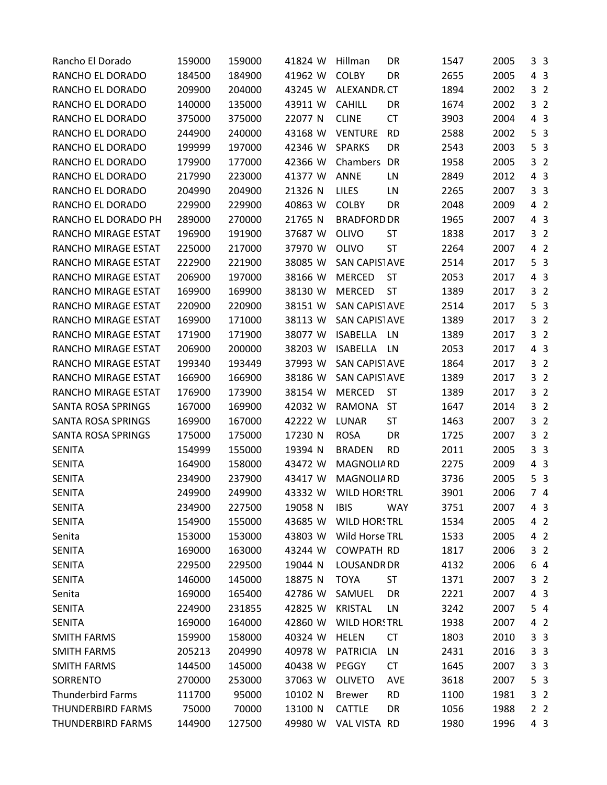| Rancho El Dorado         | 159000 | 159000 | 41824 W | Hillman              | DR         | 1547 | 2005 | 3 <sub>3</sub> |  |
|--------------------------|--------|--------|---------|----------------------|------------|------|------|----------------|--|
| RANCHO EL DORADO         | 184500 | 184900 | 41962 W | <b>COLBY</b>         | DR         | 2655 | 2005 | 4 3            |  |
| RANCHO EL DORADO         | 209900 | 204000 | 43245 W | ALEXANDR.CT          |            | 1894 | 2002 | 3 <sub>2</sub> |  |
| RANCHO EL DORADO         | 140000 | 135000 | 43911 W | <b>CAHILL</b>        | DR         | 1674 | 2002 | 3 <sub>2</sub> |  |
| RANCHO EL DORADO         | 375000 | 375000 | 22077 N | <b>CLINE</b>         | <b>CT</b>  | 3903 | 2004 | 4 3            |  |
| RANCHO EL DORADO         | 244900 | 240000 | 43168 W | <b>VENTURE</b>       | <b>RD</b>  | 2588 | 2002 | 5 <sub>3</sub> |  |
| RANCHO EL DORADO         | 199999 | 197000 | 42346 W | <b>SPARKS</b>        | DR         | 2543 | 2003 | 5 <sub>3</sub> |  |
| RANCHO EL DORADO         | 179900 | 177000 | 42366 W | Chambers             | DR         | 1958 | 2005 | 3 <sub>2</sub> |  |
| RANCHO EL DORADO         | 217990 | 223000 | 41377 W | ANNE                 | LN         | 2849 | 2012 | 4 3            |  |
| RANCHO EL DORADO         | 204990 | 204900 | 21326 N | LILES                | LN         | 2265 | 2007 | 3 <sub>3</sub> |  |
| RANCHO EL DORADO         | 229900 | 229900 | 40863 W | <b>COLBY</b>         | DR         | 2048 | 2009 | 4 2            |  |
| RANCHO EL DORADO PH      | 289000 | 270000 | 21765 N | <b>BRADFORD DR</b>   |            | 1965 | 2007 | 4 3            |  |
| RANCHO MIRAGE ESTATI     | 196900 | 191900 | 37687 W | <b>OLIVO</b>         | <b>ST</b>  | 1838 | 2017 | 3 <sub>2</sub> |  |
| RANCHO MIRAGE ESTATI     | 225000 | 217000 | 37970 W | <b>OLIVO</b>         | <b>ST</b>  | 2264 | 2007 | 4 2            |  |
| RANCHO MIRAGE ESTATI     | 222900 | 221900 | 38085 W | <b>SAN CAPISTAVE</b> |            | 2514 | 2017 | 5 <sub>3</sub> |  |
| RANCHO MIRAGE ESTATI     | 206900 | 197000 | 38166 W | <b>MERCED</b>        | <b>ST</b>  | 2053 | 2017 | 4 3            |  |
| RANCHO MIRAGE ESTATI     | 169900 | 169900 | 38130 W | <b>MERCED</b>        | <b>ST</b>  | 1389 | 2017 | 3 <sub>2</sub> |  |
| RANCHO MIRAGE ESTATI     | 220900 | 220900 | 38151 W | <b>SAN CAPISTAVE</b> |            | 2514 | 2017 | 5 <sub>3</sub> |  |
| RANCHO MIRAGE ESTATI     | 169900 | 171000 | 38113 W | SAN CAPISTAVE        |            | 1389 | 2017 | 3 <sub>2</sub> |  |
| RANCHO MIRAGE ESTATI     | 171900 | 171900 | 38077 W | <b>ISABELLA</b>      | LN.        | 1389 | 2017 | 3 <sub>2</sub> |  |
| RANCHO MIRAGE ESTATI     | 206900 | 200000 | 38203 W | <b>ISABELLA</b>      | LN.        | 2053 | 2017 | 4 3            |  |
| RANCHO MIRAGE ESTATI     | 199340 | 193449 | 37993 W | SAN CAPISTAVE        |            | 1864 | 2017 | 3 <sub>2</sub> |  |
| RANCHO MIRAGE ESTATI     | 166900 | 166900 | 38186 W | SAN CAPISTAVE        |            | 1389 | 2017 | 3 <sub>2</sub> |  |
| RANCHO MIRAGE ESTATI     | 176900 | 173900 | 38154 W | <b>MERCED</b>        | <b>ST</b>  | 1389 | 2017 | 3 <sub>2</sub> |  |
| SANTA ROSA SPRINGS       | 167000 | 169900 | 42032 W | <b>RAMONA</b>        | <b>ST</b>  | 1647 | 2014 | 3 <sub>2</sub> |  |
| SANTA ROSA SPRINGS       | 169900 | 167000 | 42222 W | <b>LUNAR</b>         | <b>ST</b>  | 1463 | 2007 | 3 <sub>2</sub> |  |
| SANTA ROSA SPRINGS       | 175000 | 175000 | 17230 N | <b>ROSA</b>          | DR         | 1725 | 2007 | 3 <sub>2</sub> |  |
| <b>SENITA</b>            | 154999 | 155000 | 19394 N | <b>BRADEN</b>        | <b>RD</b>  | 2011 | 2005 | 3 <sub>3</sub> |  |
| <b>SENITA</b>            | 164900 | 158000 | 43472 W | MAGNOLIA RD          |            | 2275 | 2009 | 4 3            |  |
| <b>SENITA</b>            | 234900 | 237900 | 43417 W | <b>MAGNOLIARD</b>    |            | 3736 | 2005 | 5 <sub>3</sub> |  |
| <b>SENITA</b>            | 249900 | 249900 | 43332 W | <b>WILD HORSTRL</b>  |            | 3901 | 2006 | 74             |  |
| SENITA                   | 234900 | 227500 | 19058 N | <b>IBIS</b>          | <b>WAY</b> | 3751 | 2007 | 4 3            |  |
| <b>SENITA</b>            | 154900 | 155000 | 43685 W | <b>WILD HORSTRL</b>  |            | 1534 | 2005 | 4 2            |  |
| Senita                   | 153000 | 153000 | 43803 W | Wild Horse TRL       |            | 1533 | 2005 | 4 <sub>2</sub> |  |
| <b>SENITA</b>            | 169000 | 163000 | 43244 W | <b>COWPATH RD</b>    |            | 1817 | 2006 | 3 <sub>2</sub> |  |
| <b>SENITA</b>            | 229500 | 229500 | 19044 N | <b>LOUSANDR DR</b>   |            | 4132 | 2006 | 6 4            |  |
| <b>SENITA</b>            | 146000 | 145000 | 18875 N | <b>TOYA</b>          | <b>ST</b>  | 1371 | 2007 | 3 <sub>2</sub> |  |
| Senita                   | 169000 | 165400 | 42786 W | SAMUEL               | DR         | 2221 | 2007 | 4 3            |  |
| <b>SENITA</b>            | 224900 | 231855 | 42825 W | <b>KRISTAL</b>       | LN         | 3242 | 2007 | 54             |  |
| <b>SENITA</b>            | 169000 | 164000 | 42860 W | <b>WILD HORSTRL</b>  |            | 1938 | 2007 | 4 <sub>2</sub> |  |
| <b>SMITH FARMS</b>       | 159900 | 158000 | 40324 W | <b>HELEN</b>         | <b>CT</b>  | 1803 | 2010 | 3 <sub>3</sub> |  |
| <b>SMITH FARMS</b>       | 205213 | 204990 | 40978 W | <b>PATRICIA</b>      | LN         | 2431 | 2016 | 3 <sub>3</sub> |  |
| <b>SMITH FARMS</b>       | 144500 | 145000 | 40438 W | PEGGY                | <b>CT</b>  | 1645 | 2007 | 3 <sub>3</sub> |  |
| SORRENTO                 | 270000 | 253000 | 37063 W | <b>OLIVETO</b>       | AVE        | 3618 | 2007 | 5 <sub>3</sub> |  |
| <b>Thunderbird Farms</b> | 111700 | 95000  | 10102 N | <b>Brewer</b>        | <b>RD</b>  | 1100 | 1981 | 3 <sub>2</sub> |  |
| <b>THUNDERBIRD FARMS</b> | 75000  | 70000  | 13100 N | <b>CATTLE</b>        | DR         | 1056 | 1988 | 2 <sub>2</sub> |  |
| <b>THUNDERBIRD FARMS</b> | 144900 | 127500 | 49980 W | VAL VISTA RD         |            | 1980 | 1996 | 4 <sub>3</sub> |  |